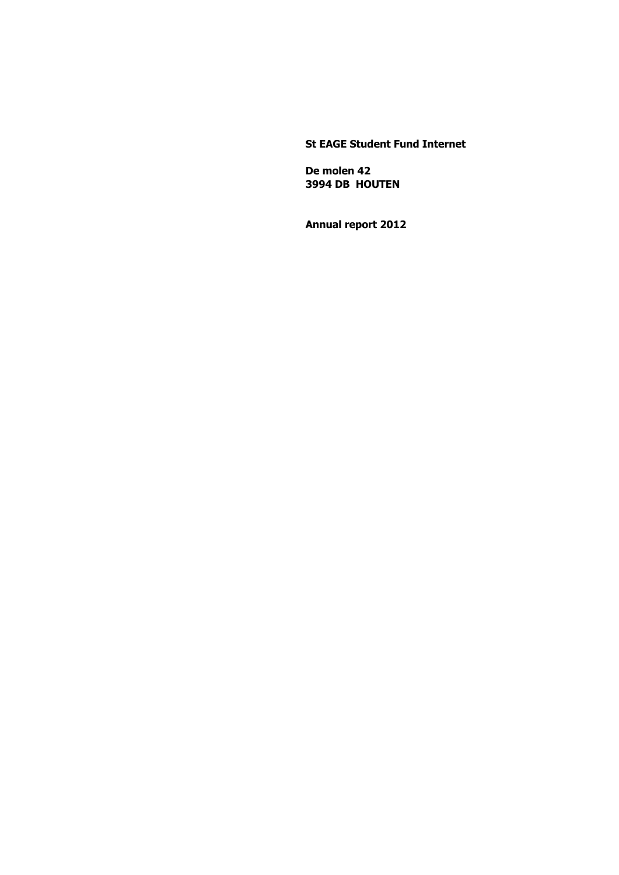### **St EAGE Student Fund Internet**

 **De molen 42 3994 DB HOUTEN**

 **Annual report 2012**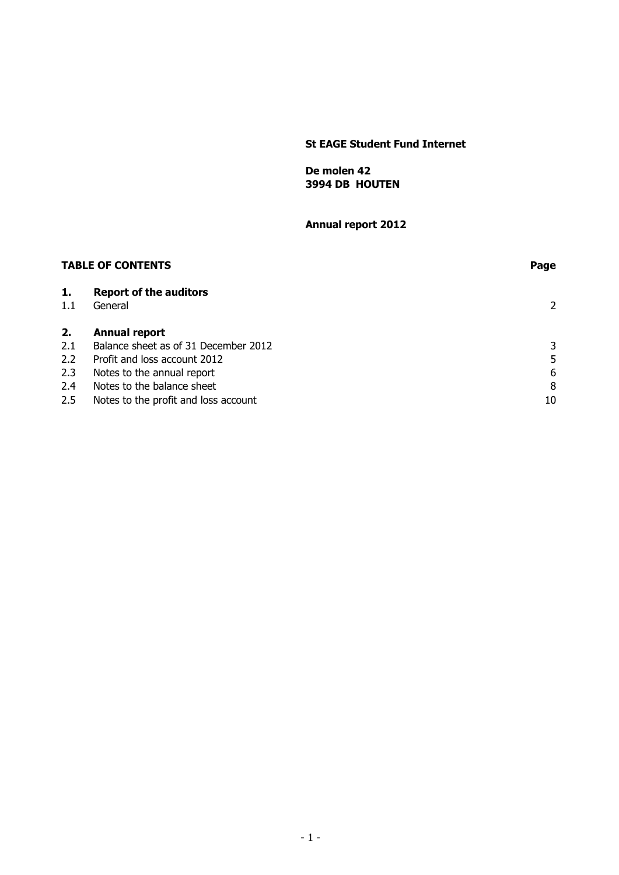### **St EAGE Student Fund Internet**

 **De molen 42 3994 DB HOUTEN**

 **Annual report 2012**

| <b>TABLE OF CONTENTS</b> |                                          | Page |  |
|--------------------------|------------------------------------------|------|--|
| 1.<br>1.1                | <b>Report of the auditors</b><br>General | 2    |  |
| 2.                       | Annual report                            |      |  |
| 2.1                      | Balance sheet as of 31 December 2012     | 3    |  |
| 2.2                      | Profit and loss account 2012             | 5    |  |
| 2.3                      | Notes to the annual report               | 6    |  |
| 2.4                      | Notes to the balance sheet               | 8    |  |
| 2.5                      | Notes to the profit and loss account     | 10   |  |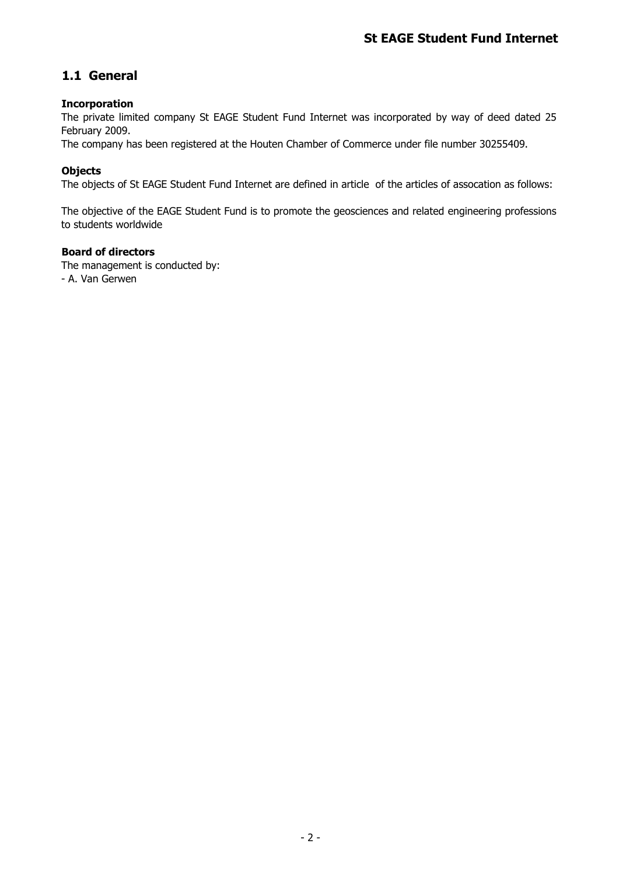# **1.1 General**

## **Incorporation**

The private limited company St EAGE Student Fund Internet was incorporated by way of deed dated 25 February 2009.

The company has been registered at the Houten Chamber of Commerce under file number 30255409.

## **Objects**

The objects of St EAGE Student Fund Internet are defined in article of the articles of assocation as follows:

The objective of the EAGE Student Fund is to promote the geosciences and related engineering professions to students worldwide

### **Board of directors**

The management is conducted by: - A. Van Gerwen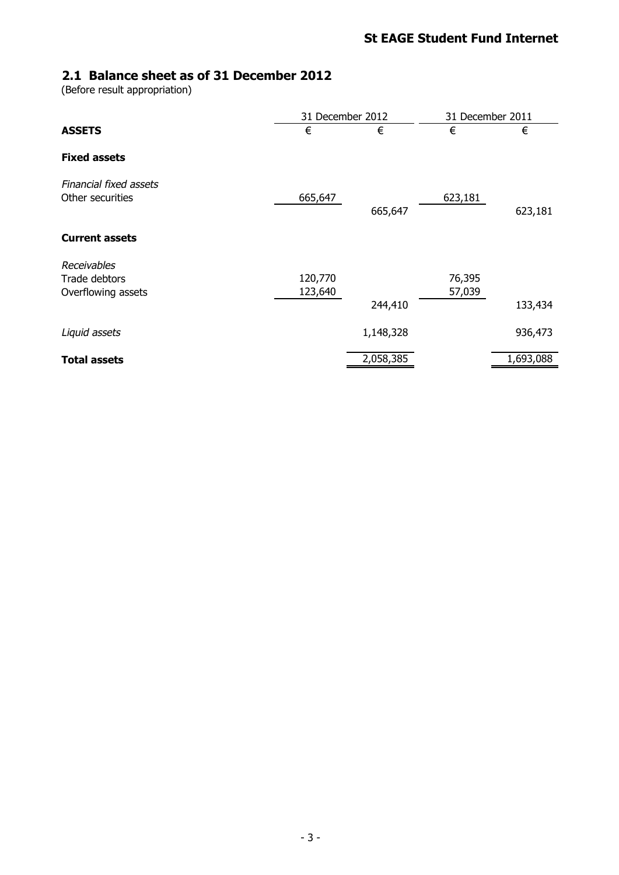# **2.1 Balance sheet as of 31 December 2012**

(Before result appropriation)

|                                                    | 31 December 2012   |           | 31 December 2011 |           |
|----------------------------------------------------|--------------------|-----------|------------------|-----------|
| <b>ASSETS</b>                                      | €                  | €         | €                | €         |
| <b>Fixed assets</b>                                |                    |           |                  |           |
| Financial fixed assets<br>Other securities         | 665,647            | 665,647   | 623,181          | 623,181   |
| <b>Current assets</b>                              |                    |           |                  |           |
| Receivables<br>Trade debtors<br>Overflowing assets | 120,770<br>123,640 |           | 76,395<br>57,039 |           |
|                                                    |                    | 244,410   |                  | 133,434   |
| Liquid assets                                      |                    | 1,148,328 |                  | 936,473   |
| <b>Total assets</b>                                |                    | 2,058,385 |                  | 1,693,088 |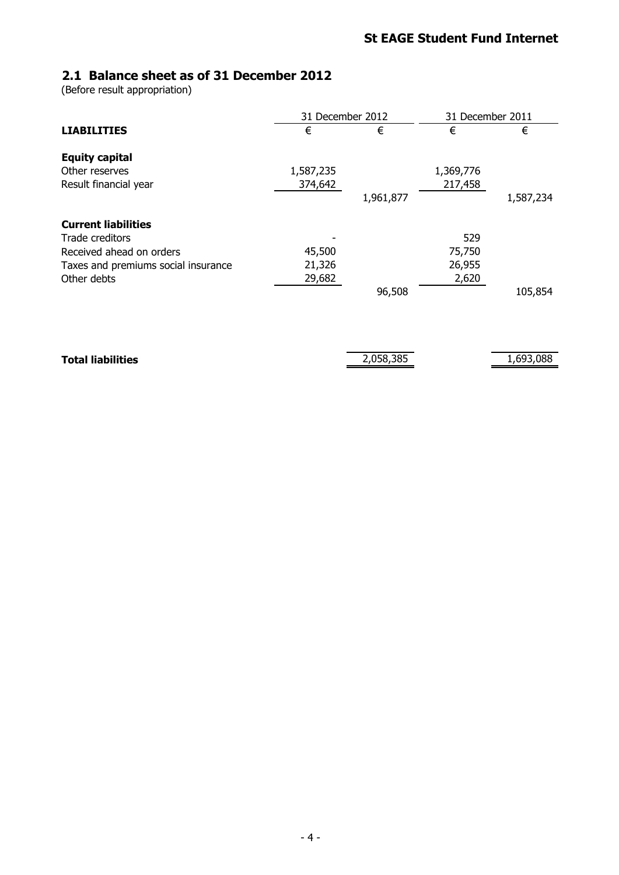# **2.1 Balance sheet as of 31 December 2012**

(Before result appropriation)

|                                     | 31 December 2012 |           | 31 December 2011 |           |
|-------------------------------------|------------------|-----------|------------------|-----------|
| <b>LIABILITIES</b>                  | €                | €         | €                | €         |
| <b>Equity capital</b>               |                  |           |                  |           |
| Other reserves                      | 1,587,235        |           | 1,369,776        |           |
| Result financial year               | 374,642          | 1,961,877 | 217,458          | 1,587,234 |
| <b>Current liabilities</b>          |                  |           |                  |           |
| Trade creditors                     |                  |           | 529              |           |
| Received ahead on orders            | 45,500           |           | 75,750           |           |
| Taxes and premiums social insurance | 21,326           |           | 26,955           |           |
| Other debts                         | 29,682           | 96,508    | 2,620            | 105,854   |
| <b>Total liabilities</b>            |                  | 2,058,385 |                  | 1,693,088 |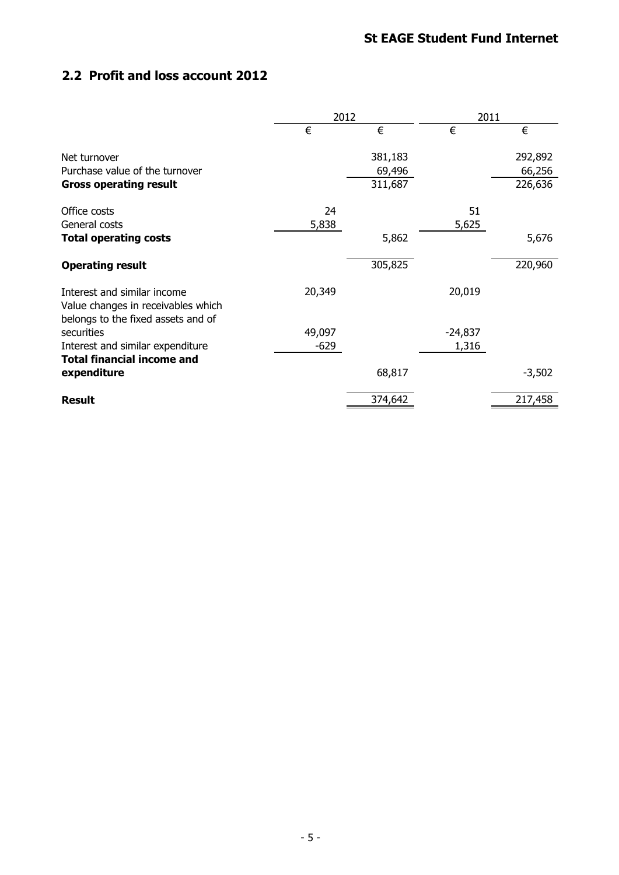# **2.2 Profit and loss account 2012**

|                                                                                                         | 2012   |         | 2011      |          |
|---------------------------------------------------------------------------------------------------------|--------|---------|-----------|----------|
|                                                                                                         | €      | €       | €         | €        |
| Net turnover                                                                                            |        | 381,183 |           | 292,892  |
| Purchase value of the turnover                                                                          |        | 69,496  |           | 66,256   |
| <b>Gross operating result</b>                                                                           |        | 311,687 |           | 226,636  |
| Office costs                                                                                            | 24     |         | 51        |          |
| General costs                                                                                           | 5,838  |         | 5,625     |          |
| <b>Total operating costs</b>                                                                            |        | 5,862   |           | 5,676    |
| <b>Operating result</b>                                                                                 |        | 305,825 |           | 220,960  |
| Interest and similar income<br>Value changes in receivables which<br>belongs to the fixed assets and of | 20,349 |         | 20,019    |          |
| securities                                                                                              | 49,097 |         | $-24,837$ |          |
| Interest and similar expenditure                                                                        | $-629$ |         | 1,316     |          |
| <b>Total financial income and</b>                                                                       |        |         |           |          |
| expenditure                                                                                             |        | 68,817  |           | $-3,502$ |
| <b>Result</b>                                                                                           |        | 374,642 |           | 217,458  |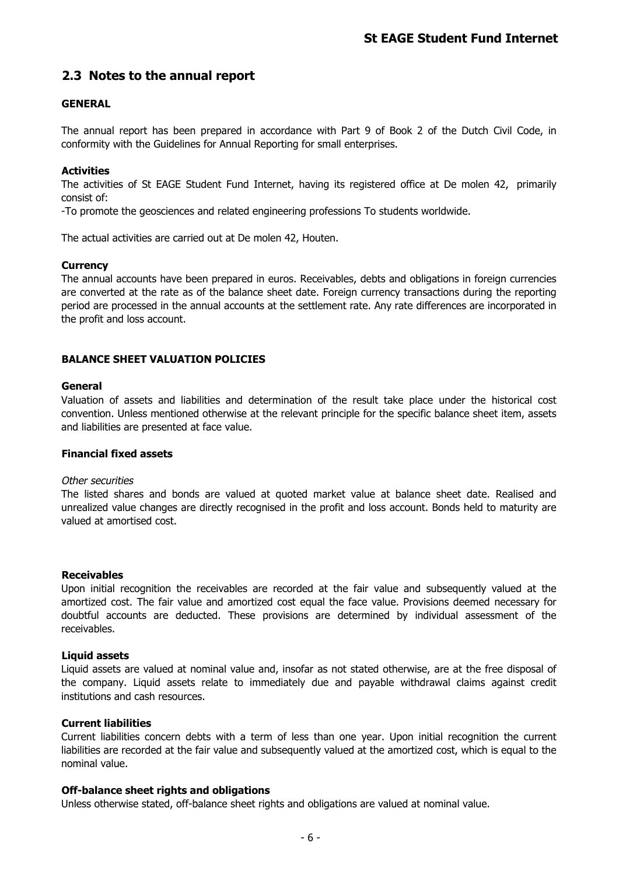## **2.3 Notes to the annual report**

### **GENERAL**

The annual report has been prepared in accordance with Part 9 of Book 2 of the Dutch Civil Code, in conformity with the Guidelines for Annual Reporting for small enterprises.

### **Activities**

The activities of St EAGE Student Fund Internet, having its registered office at De molen 42, primarily consist of:

-To promote the geosciences and related engineering professions To students worldwide.

The actual activities are carried out at De molen 42, Houten.

### **Currency**

The annual accounts have been prepared in euros. Receivables, debts and obligations in foreign currencies are converted at the rate as of the balance sheet date. Foreign currency transactions during the reporting period are processed in the annual accounts at the settlement rate. Any rate differences are incorporated in the profit and loss account.

### **BALANCE SHEET VALUATION POLICIES**

### **General**

Valuation of assets and liabilities and determination of the result take place under the historical cost convention. Unless mentioned otherwise at the relevant principle for the specific balance sheet item, assets and liabilities are presented at face value.

### **Financial fixed assets**

#### Other securities

The listed shares and bonds are valued at quoted market value at balance sheet date. Realised and unrealized value changes are directly recognised in the profit and loss account. Bonds held to maturity are valued at amortised cost.

#### **Receivables**

Upon initial recognition the receivables are recorded at the fair value and subsequently valued at the amortized cost. The fair value and amortized cost equal the face value. Provisions deemed necessary for doubtful accounts are deducted. These provisions are determined by individual assessment of the receivables.

#### **Liquid assets**

Liquid assets are valued at nominal value and, insofar as not stated otherwise, are at the free disposal of the company. Liquid assets relate to immediately due and payable withdrawal claims against credit institutions and cash resources.

### **Current liabilities**

Current liabilities concern debts with a term of less than one year. Upon initial recognition the current liabilities are recorded at the fair value and subsequently valued at the amortized cost, which is equal to the nominal value.

### **Off-balance sheet rights and obligations**

Unless otherwise stated, off-balance sheet rights and obligations are valued at nominal value.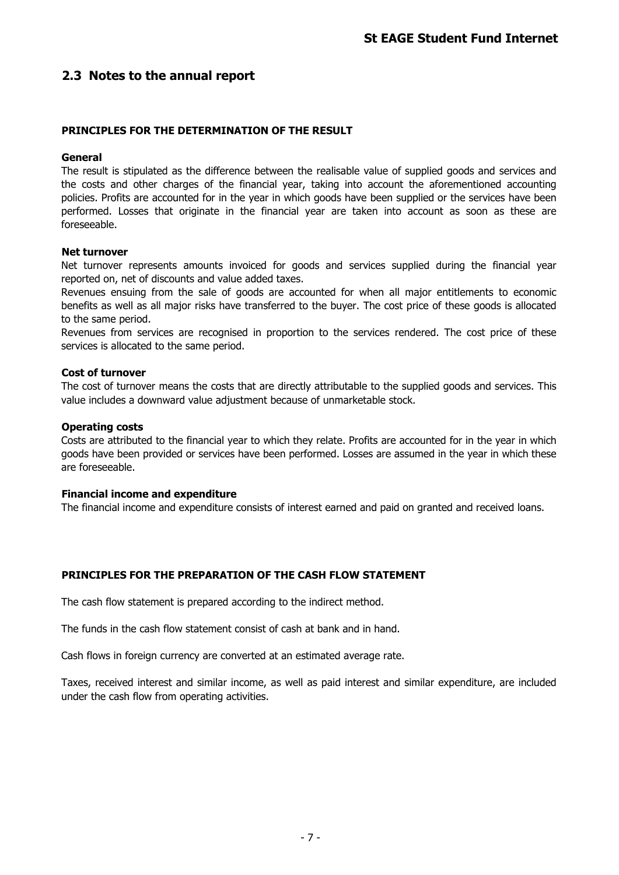## **2.3 Notes to the annual report**

### **PRINCIPLES FOR THE DETERMINATION OF THE RESULT**

### **General**

The result is stipulated as the difference between the realisable value of supplied goods and services and the costs and other charges of the financial year, taking into account the aforementioned accounting policies. Profits are accounted for in the year in which goods have been supplied or the services have been performed. Losses that originate in the financial year are taken into account as soon as these are foreseeable.

### **Net turnover**

Net turnover represents amounts invoiced for goods and services supplied during the financial year reported on, net of discounts and value added taxes.

Revenues ensuing from the sale of goods are accounted for when all major entitlements to economic benefits as well as all major risks have transferred to the buyer. The cost price of these goods is allocated to the same period.

Revenues from services are recognised in proportion to the services rendered. The cost price of these services is allocated to the same period.

### **Cost of turnover**

The cost of turnover means the costs that are directly attributable to the supplied goods and services. This value includes a downward value adjustment because of unmarketable stock.

### **Operating costs**

Costs are attributed to the financial year to which they relate. Profits are accounted for in the year in which goods have been provided or services have been performed. Losses are assumed in the year in which these are foreseeable.

#### **Financial income and expenditure**

The financial income and expenditure consists of interest earned and paid on granted and received loans.

### **PRINCIPLES FOR THE PREPARATION OF THE CASH FLOW STATEMENT**

The cash flow statement is prepared according to the indirect method.

The funds in the cash flow statement consist of cash at bank and in hand.

Cash flows in foreign currency are converted at an estimated average rate.

Taxes, received interest and similar income, as well as paid interest and similar expenditure, are included under the cash flow from operating activities.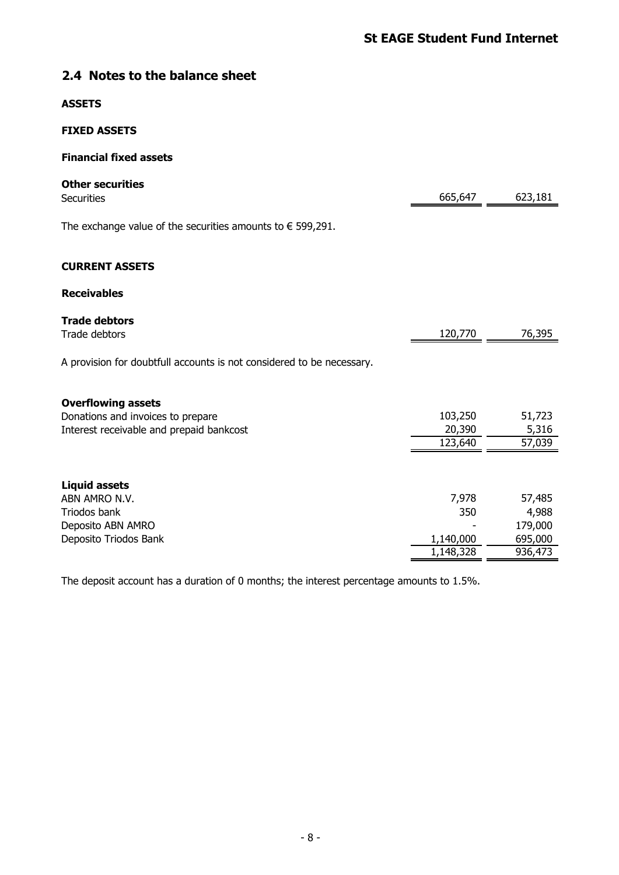# **2.4 Notes to the balance sheet**

### **ASSETS**

### **FIXED ASSETS**

## **Financial fixed assets**

| <b>Other securities</b><br><b>Securities</b>                          | 665,647           | 623,181         |
|-----------------------------------------------------------------------|-------------------|-----------------|
| The exchange value of the securities amounts to $\epsilon$ 599,291.   |                   |                 |
| <b>CURRENT ASSETS</b>                                                 |                   |                 |
| <b>Receivables</b>                                                    |                   |                 |
| <b>Trade debtors</b><br>Trade debtors                                 | 120,770           | 76,395          |
| A provision for doubtfull accounts is not considered to be necessary. |                   |                 |
| <b>Overflowing assets</b>                                             |                   |                 |
| Donations and invoices to prepare                                     | 103,250           | 51,723          |
| Interest receivable and prepaid bankcost                              | 20,390<br>123,640 | 5,316<br>57,039 |
|                                                                       |                   |                 |
| <b>Liquid assets</b>                                                  |                   |                 |
| ABN AMRO N.V.<br>Triodos bank                                         | 7,978<br>350      | 57,485<br>4,988 |
| Deposito ABN AMRO                                                     |                   | 179,000         |
| Deposito Triodos Bank                                                 | 1,140,000         | 695,000         |
|                                                                       | 1,148,328         | 936,473         |

The deposit account has a duration of 0 months; the interest percentage amounts to 1.5%.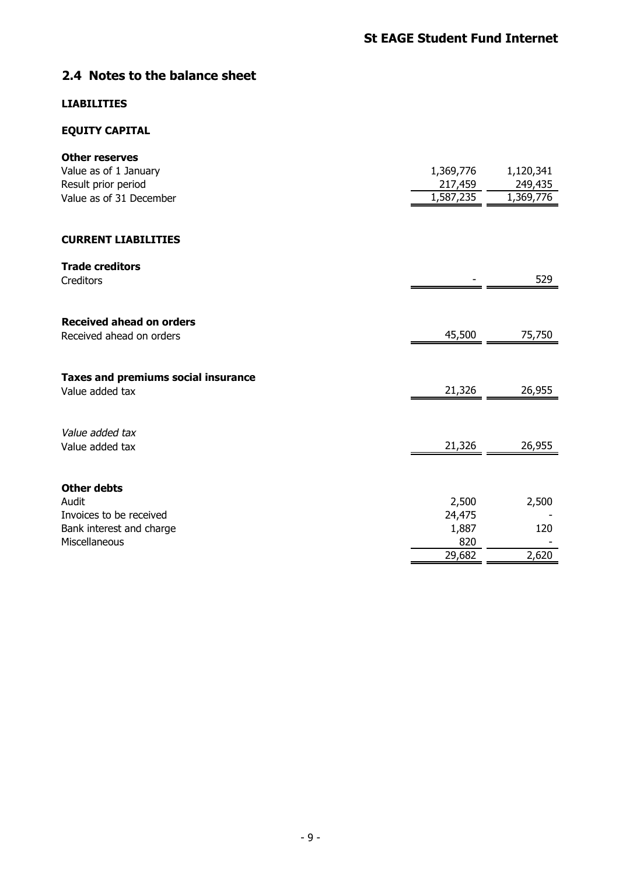# **2.4 Notes to the balance sheet**

## **LIABILITIES**

## **EQUITY CAPITAL**

| <b>Other reserves</b>                      |           |           |
|--------------------------------------------|-----------|-----------|
| Value as of 1 January                      | 1,369,776 | 1,120,341 |
| Result prior period                        | 217,459   | 249,435   |
| Value as of 31 December                    | 1,587,235 | 1,369,776 |
|                                            |           |           |
| <b>CURRENT LIABILITIES</b>                 |           |           |
| <b>Trade creditors</b>                     |           |           |
| Creditors                                  |           | 529       |
|                                            |           |           |
| <b>Received ahead on orders</b>            |           |           |
| Received ahead on orders                   | 45,500    | 75,750    |
|                                            |           |           |
| <b>Taxes and premiums social insurance</b> |           |           |
| Value added tax                            | 21,326    | 26,955    |
|                                            |           |           |
| Value added tax                            |           |           |
| Value added tax                            | 21,326    | 26,955    |
|                                            |           |           |
| <b>Other debts</b>                         |           |           |
| Audit                                      | 2,500     | 2,500     |
| Invoices to be received                    | 24,475    |           |
| Bank interest and charge                   | 1,887     | 120       |
| Miscellaneous                              | 820       |           |
|                                            | 29,682    | 2,620     |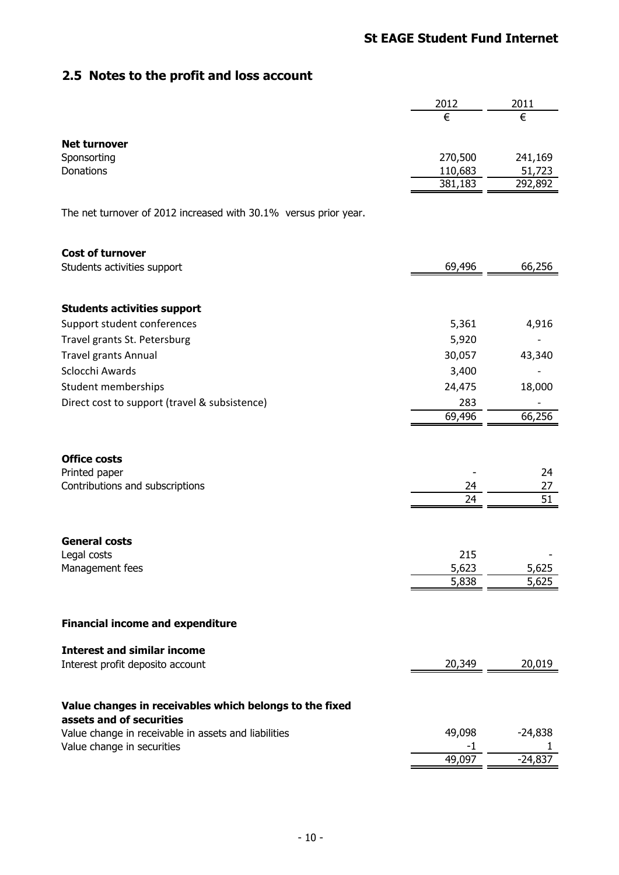# **St EAGE Student Fund Internet**

# **2.5 Notes to the profit and loss account**

|                                                                  | 2012           | 2011      |
|------------------------------------------------------------------|----------------|-----------|
|                                                                  | €              | €         |
|                                                                  |                |           |
| <b>Net turnover</b><br>Sponsorting                               | 270,500        | 241,169   |
| Donations                                                        | 110,683        | 51,723    |
|                                                                  | 381,183        | 292,892   |
|                                                                  |                |           |
| The net turnover of 2012 increased with 30.1% versus prior year. |                |           |
|                                                                  |                |           |
| <b>Cost of turnover</b>                                          |                |           |
| Students activities support                                      | 69,496         | 66,256    |
|                                                                  |                |           |
|                                                                  |                |           |
| <b>Students activities support</b>                               |                |           |
| Support student conferences                                      | 5,361          | 4,916     |
| Travel grants St. Petersburg                                     | 5,920          |           |
| <b>Travel grants Annual</b>                                      | 30,057         | 43,340    |
| Sclocchi Awards                                                  | 3,400          |           |
| Student memberships                                              | 24,475         | 18,000    |
| Direct cost to support (travel & subsistence)                    | 283<br>69,496  | 66,256    |
|                                                                  |                |           |
|                                                                  |                |           |
| <b>Office costs</b>                                              |                |           |
| Printed paper                                                    |                | 24        |
| Contributions and subscriptions                                  | 24<br>24       | 27<br>51  |
|                                                                  |                |           |
|                                                                  |                |           |
| <b>General costs</b>                                             |                |           |
| Legal costs                                                      | 215            |           |
| Management fees                                                  | 5,623<br>5,838 | 5,625     |
|                                                                  |                | 5,625     |
|                                                                  |                |           |
| <b>Financial income and expenditure</b>                          |                |           |
|                                                                  |                |           |
| <b>Interest and similar income</b>                               |                |           |
| Interest profit deposito account                                 | 20,349         | 20,019    |
|                                                                  |                |           |
| Value changes in receivables which belongs to the fixed          |                |           |
| assets and of securities                                         |                |           |
| Value change in receivable in assets and liabilities             | 49,098         | $-24,838$ |
| Value change in securities                                       | $-1$<br>49,097 | $-24,837$ |
|                                                                  |                |           |